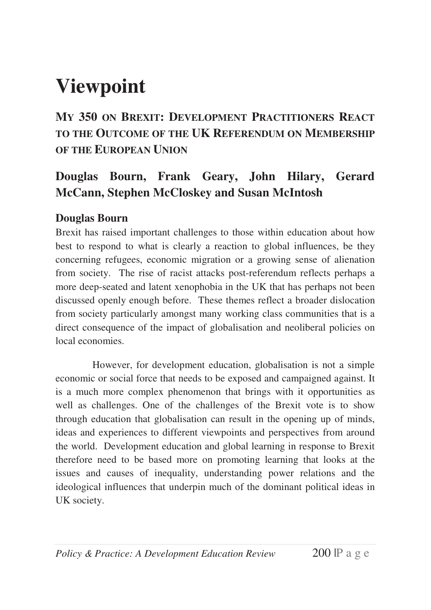# **Viewpoint**

**MY 350 ON BREXIT: DEVELOPMENT PRACTITIONERS REACT TO THE OUTCOME OF THE UK REFERENDUM ON MEMBERSHIP OF THE EUROPEAN UNION** 

# **Douglas Bourn, Frank Geary, John Hilary, Gerard McCann, Stephen McCloskey and Susan McIntosh**

# **Douglas Bourn**

Brexit has raised important challenges to those within education about how best to respond to what is clearly a reaction to global influences, be they concerning refugees, economic migration or a growing sense of alienation from society. The rise of racist attacks post-referendum reflects perhaps a more deep-seated and latent xenophobia in the UK that has perhaps not been discussed openly enough before. These themes reflect a broader dislocation from society particularly amongst many working class communities that is a direct consequence of the impact of globalisation and neoliberal policies on local economies.

However, for development education, globalisation is not a simple economic or social force that needs to be exposed and campaigned against. It is a much more complex phenomenon that brings with it opportunities as well as challenges. One of the challenges of the Brexit vote is to show through education that globalisation can result in the opening up of minds, ideas and experiences to different viewpoints and perspectives from around the world. Development education and global learning in response to Brexit therefore need to be based more on promoting learning that looks at the issues and causes of inequality, understanding power relations and the ideological influences that underpin much of the dominant political ideas in UK society.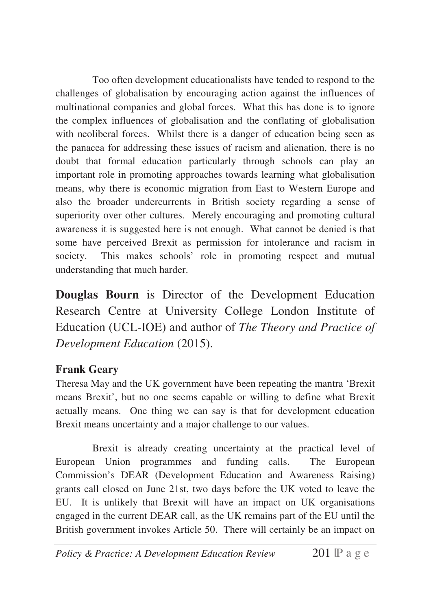Too often development educationalists have tended to respond to the challenges of globalisation by encouraging action against the influences of multinational companies and global forces. What this has done is to ignore the complex influences of globalisation and the conflating of globalisation with neoliberal forces. Whilst there is a danger of education being seen as the panacea for addressing these issues of racism and alienation, there is no doubt that formal education particularly through schools can play an important role in promoting approaches towards learning what globalisation means, why there is economic migration from East to Western Europe and also the broader undercurrents in British society regarding a sense of superiority over other cultures. Merely encouraging and promoting cultural awareness it is suggested here is not enough. What cannot be denied is that some have perceived Brexit as permission for intolerance and racism in society. This makes schools' role in promoting respect and mutual understanding that much harder.

**Douglas Bourn** is Director of the Development Education Research Centre at University College London Institute of Education (UCL-IOE) and author of *The Theory and Practice of Development Education* (2015).

# **Frank Geary**

Theresa May and the UK government have been repeating the mantra 'Brexit means Brexit', but no one seems capable or willing to define what Brexit actually means. One thing we can say is that for development education Brexit means uncertainty and a major challenge to our values.

Brexit is already creating uncertainty at the practical level of European Union programmes and funding calls. The European Commission's DEAR (Development Education and Awareness Raising) grants call closed on June 21st, two days before the UK voted to leave the EU. It is unlikely that Brexit will have an impact on UK organisations engaged in the current DEAR call, as the UK remains part of the EU until the British government invokes Article 50. There will certainly be an impact on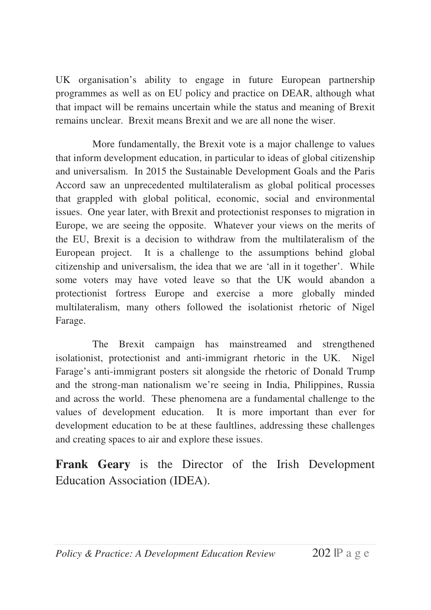UK organisation's ability to engage in future European partnership programmes as well as on EU policy and practice on DEAR, although what that impact will be remains uncertain while the status and meaning of Brexit remains unclear. Brexit means Brexit and we are all none the wiser.

More fundamentally, the Brexit vote is a major challenge to values that inform development education, in particular to ideas of global citizenship and universalism. In 2015 the Sustainable Development Goals and the Paris Accord saw an unprecedented multilateralism as global political processes that grappled with global political, economic, social and environmental issues. One year later, with Brexit and protectionist responses to migration in Europe, we are seeing the opposite. Whatever your views on the merits of the EU, Brexit is a decision to withdraw from the multilateralism of the European project. It is a challenge to the assumptions behind global citizenship and universalism, the idea that we are 'all in it together'. While some voters may have voted leave so that the UK would abandon a protectionist fortress Europe and exercise a more globally minded multilateralism, many others followed the isolationist rhetoric of Nigel Farage.

The Brexit campaign has mainstreamed and strengthened isolationist, protectionist and anti-immigrant rhetoric in the UK. Nigel Farage's anti-immigrant posters sit alongside the rhetoric of Donald Trump and the strong-man nationalism we're seeing in India, Philippines, Russia and across the world. These phenomena are a fundamental challenge to the values of development education. It is more important than ever for development education to be at these faultlines, addressing these challenges and creating spaces to air and explore these issues.

**Frank Geary** is the Director of the Irish Development Education Association (IDEA).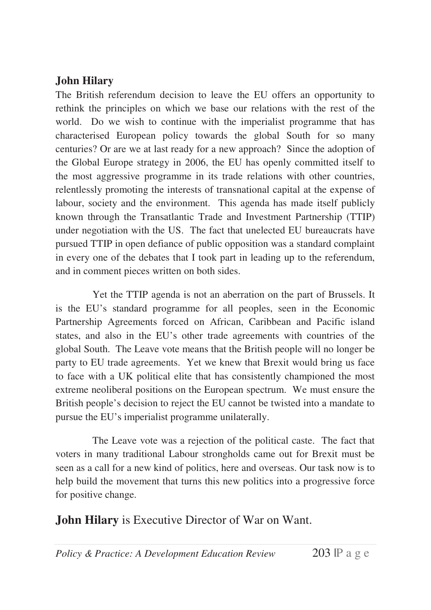# **John Hilary**

The British referendum decision to leave the EU offers an opportunity to rethink the principles on which we base our relations with the rest of the world. Do we wish to continue with the imperialist programme that has characterised European policy towards the global South for so many centuries? Or are we at last ready for a new approach? Since the adoption of the Global Europe strategy in 2006, the EU has openly committed itself to the most aggressive programme in its trade relations with other countries, relentlessly promoting the interests of transnational capital at the expense of labour, society and the environment. This agenda has made itself publicly known through the Transatlantic Trade and Investment Partnership (TTIP) under negotiation with the US. The fact that unelected EU bureaucrats have pursued TTIP in open defiance of public opposition was a standard complaint in every one of the debates that I took part in leading up to the referendum, and in comment pieces written on both sides.

Yet the TTIP agenda is not an aberration on the part of Brussels. It is the EU's standard programme for all peoples, seen in the Economic Partnership Agreements forced on African, Caribbean and Pacific island states, and also in the EU's other trade agreements with countries of the global South. The Leave vote means that the British people will no longer be party to EU trade agreements. Yet we knew that Brexit would bring us face to face with a UK political elite that has consistently championed the most extreme neoliberal positions on the European spectrum. We must ensure the British people's decision to reject the EU cannot be twisted into a mandate to pursue the EU's imperialist programme unilaterally.

The Leave vote was a rejection of the political caste. The fact that voters in many traditional Labour strongholds came out for Brexit must be seen as a call for a new kind of politics, here and overseas. Our task now is to help build the movement that turns this new politics into a progressive force for positive change.

**John Hilary** is Executive Director of War on Want.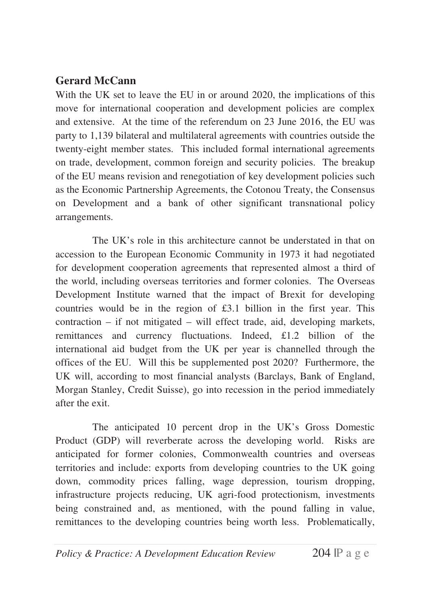#### **Gerard McCann**

With the UK set to leave the EU in or around 2020, the implications of this move for international cooperation and development policies are complex and extensive. At the time of the referendum on 23 June 2016, the EU was party to 1,139 bilateral and multilateral agreements with countries outside the twenty-eight member states. This included formal international agreements on trade, development, common foreign and security policies. The breakup of the EU means revision and renegotiation of key development policies such as the Economic Partnership Agreements, the Cotonou Treaty, the Consensus on Development and a bank of other significant transnational policy arrangements.

The UK's role in this architecture cannot be understated in that on accession to the European Economic Community in 1973 it had negotiated for development cooperation agreements that represented almost a third of the world, including overseas territories and former colonies. The Overseas Development Institute warned that the impact of Brexit for developing countries would be in the region of £3.1 billion in the first year. This contraction – if not mitigated – will effect trade, aid, developing markets, remittances and currency fluctuations. Indeed, £1.2 billion of the international aid budget from the UK per year is channelled through the offices of the EU. Will this be supplemented post 2020? Furthermore, the UK will, according to most financial analysts (Barclays, Bank of England, Morgan Stanley, Credit Suisse), go into recession in the period immediately after the exit.

The anticipated 10 percent drop in the UK's Gross Domestic Product (GDP) will reverberate across the developing world. Risks are anticipated for former colonies, Commonwealth countries and overseas territories and include: exports from developing countries to the UK going down, commodity prices falling, wage depression, tourism dropping, infrastructure projects reducing, UK agri-food protectionism, investments being constrained and, as mentioned, with the pound falling in value, remittances to the developing countries being worth less. Problematically,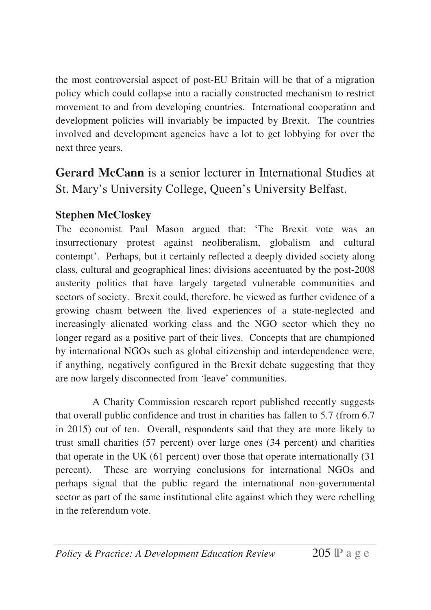the most controversial aspect of post-EU Britain will be that of a migration policy which could collapse into a racially constructed mechanism to restrict movement to and from developing countries. International cooperation and development policies will invariably be impacted by Brexit. The countries involved and development agencies have a lot to get lobbying for over the next three years.

**Gerard McCann** is a senior lecturer in International Studies at St. Mary's University College, Queen's University Belfast.

# **Stephen McCloskey**

The economist Paul Mason argued that: 'The Brexit vote was an insurrectionary protest against neoliberalism, globalism and cultural contempt'. Perhaps, but it certainly reflected a deeply divided society along class, cultural and geographical lines; divisions accentuated by the post-2008 austerity politics that have largely targeted vulnerable communities and sectors of society. Brexit could, therefore, be viewed as further evidence of a growing chasm between the lived experiences of a state-neglected and increasingly alienated working class and the NGO sector which they no longer regard as a positive part of their lives. Concepts that are championed by international NGOs such as global citizenship and interdependence were, if anything, negatively configured in the Brexit debate suggesting that they are now largely disconnected from 'leave' communities.

A Charity Commission research report published recently suggests that overall public confidence and trust in charities has fallen to 5.7 (from 6.7 in 2015) out of ten. Overall, respondents said that they are more likely to trust small charities (57 percent) over large ones (34 percent) and charities that operate in the UK (61 percent) over those that operate internationally (31 percent). These are worrying conclusions for international NGOs and perhaps signal that the public regard the international non-governmental sector as part of the same institutional elite against which they were rebelling in the referendum vote.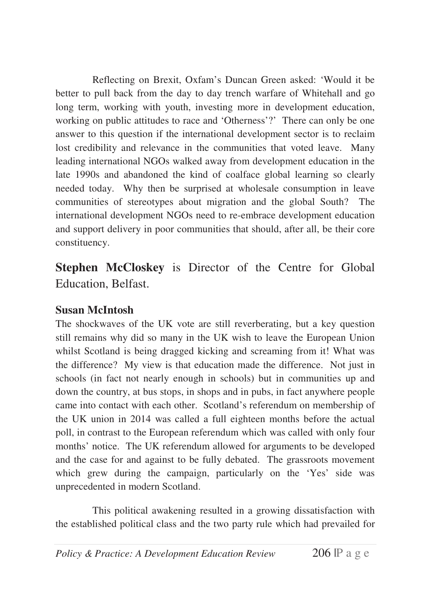Reflecting on Brexit, Oxfam's Duncan Green asked: 'Would it be better to pull back from the day to day trench warfare of Whitehall and go long term, working with youth, investing more in development education, working on public attitudes to race and 'Otherness'?' There can only be one answer to this question if the international development sector is to reclaim lost credibility and relevance in the communities that voted leave. Many leading international NGOs walked away from development education in the late 1990s and abandoned the kind of coalface global learning so clearly needed today. Why then be surprised at wholesale consumption in leave communities of stereotypes about migration and the global South? The international development NGOs need to re-embrace development education and support delivery in poor communities that should, after all, be their core constituency.

**Stephen McCloskey** is Director of the Centre for Global Education, Belfast.

# **Susan McIntosh**

The shockwaves of the UK vote are still reverberating, but a key question still remains why did so many in the UK wish to leave the European Union whilst Scotland is being dragged kicking and screaming from it! What was the difference? My view is that education made the difference. Not just in schools (in fact not nearly enough in schools) but in communities up and down the country, at bus stops, in shops and in pubs, in fact anywhere people came into contact with each other. Scotland's referendum on membership of the UK union in 2014 was called a full eighteen months before the actual poll, in contrast to the European referendum which was called with only four months' notice. The UK referendum allowed for arguments to be developed and the case for and against to be fully debated. The grassroots movement which grew during the campaign, particularly on the 'Yes' side was unprecedented in modern Scotland.

This political awakening resulted in a growing dissatisfaction with the established political class and the two party rule which had prevailed for